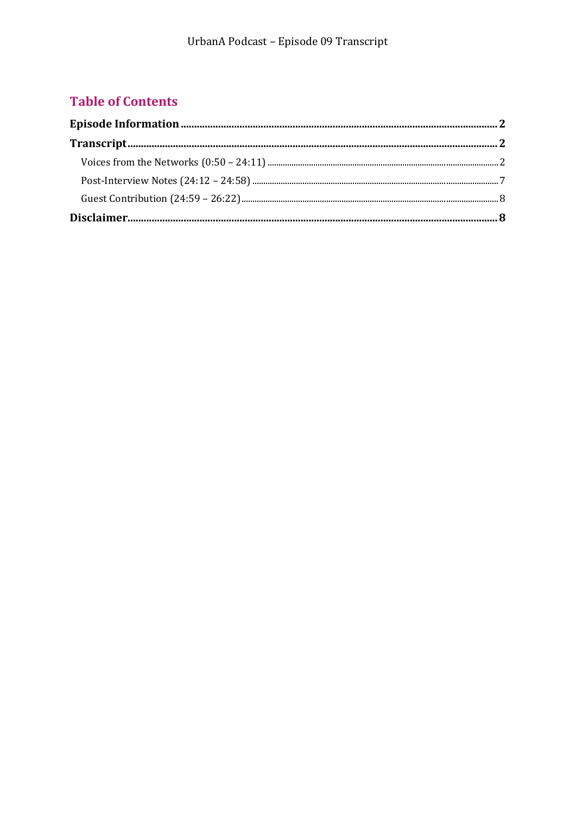## **Table of Contents**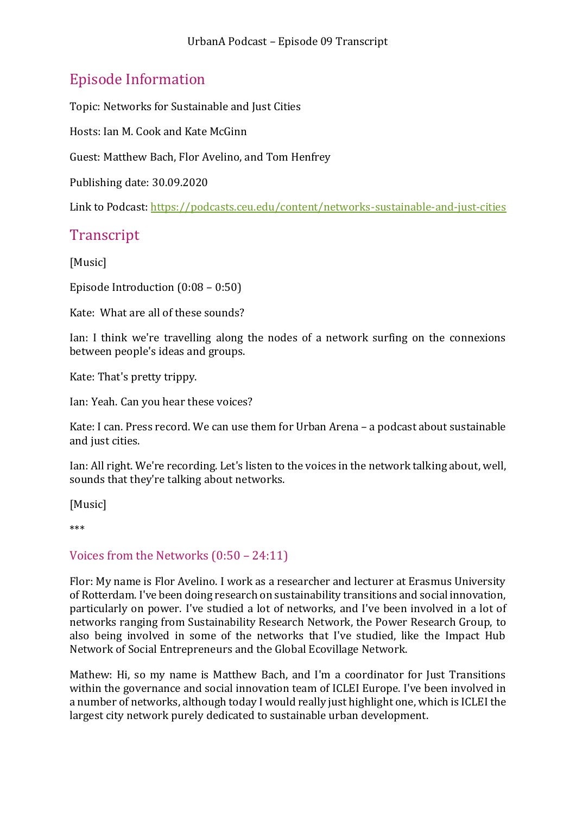# <span id="page-1-0"></span>Episode Information

Topic: Networks for Sustainable and Just Cities

Hosts: Ian M. Cook and Kate McGinn

Guest: Matthew Bach, Flor Avelino, and Tom Henfrey

Publishing date: 30.09.2020

Link to Podcast[: https://podcasts.ceu.edu/content/networks-sustainable-and-just-cities](https://podcasts.ceu.edu/content/networks-sustainable-and-just-cities)

# <span id="page-1-1"></span>**Transcript**

[Music]

Episode Introduction (0:08 – 0:50)

Kate: What are all of these sounds?

Ian: I think we're travelling along the nodes of a network surfing on the connexions between people's ideas and groups.

Kate: That's pretty trippy.

Ian: Yeah. Can you hear these voices?

Kate: I can. Press record. We can use them for Urban Arena – a podcast about sustainable and just cities.

Ian: All right. We're recording. Let's listen to the voices in the network talking about, well, sounds that they're talking about networks.

[Music]

\*\*\*

#### <span id="page-1-2"></span>Voices from the Networks (0:50 – 24:11)

Flor: My name is Flor Avelino. I work as a researcher and lecturer at Erasmus University of Rotterdam. I've been doing research on sustainability transitions and social innovation, particularly on power. I've studied a lot of networks, and I've been involved in a lot of networks ranging from Sustainability Research Network, the Power Research Group, to also being involved in some of the networks that I've studied, like the Impact Hub Network of Social Entrepreneurs and the Global Ecovillage Network.

Mathew: Hi, so my name is Matthew Bach, and I'm a coordinator for Just Transitions within the governance and social innovation team of ICLEI Europe. I've been involved in a number of networks, although today I would really just highlight one, which is ICLEI the largest city network purely dedicated to sustainable urban development.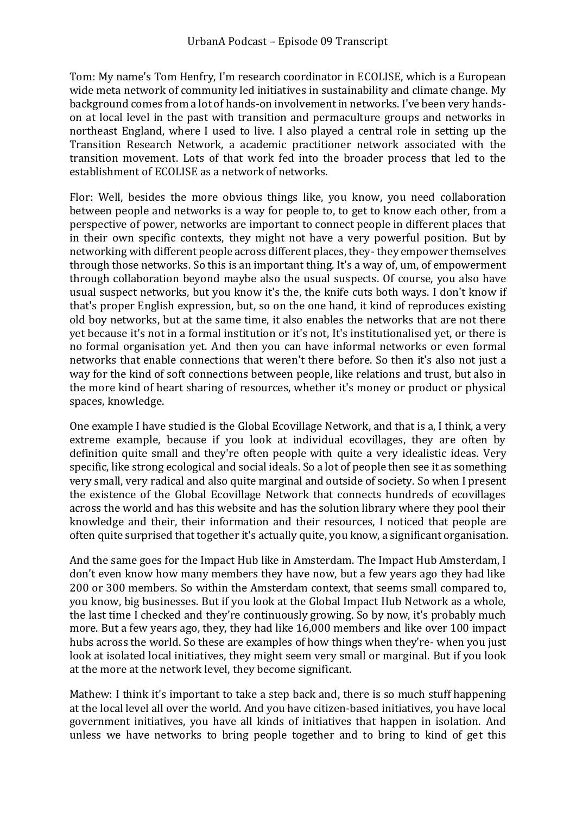Tom: My name's Tom Henfry, I'm research coordinator in ECOLISE, which is a European wide meta network of community led initiatives in sustainability and climate change. My background comes from a lot of hands-on involvement in networks. I've been very handson at local level in the past with transition and permaculture groups and networks in northeast England, where I used to live. I also played a central role in setting up the Transition Research Network, a academic practitioner network associated with the transition movement. Lots of that work fed into the broader process that led to the establishment of ECOLISE as a network of networks.

Flor: Well, besides the more obvious things like, you know, you need collaboration between people and networks is a way for people to, to get to know each other, from a perspective of power, networks are important to connect people in different places that in their own specific contexts, they might not have a very powerful position. But by networking with different people across different places, they- they empower themselves through those networks. So this is an important thing. It's a way of, um, of empowerment through collaboration beyond maybe also the usual suspects. Of course, you also have usual suspect networks, but you know it's the, the knife cuts both ways. I don't know if that's proper English expression, but, so on the one hand, it kind of reproduces existing old boy networks, but at the same time, it also enables the networks that are not there yet because it's not in a formal institution or it's not, It's institutionalised yet, or there is no formal organisation yet. And then you can have informal networks or even formal networks that enable connections that weren't there before. So then it's also not just a way for the kind of soft connections between people, like relations and trust, but also in the more kind of heart sharing of resources, whether it's money or product or physical spaces, knowledge.

One example I have studied is the Global Ecovillage Network, and that is a, I think, a very extreme example, because if you look at individual ecovillages, they are often by definition quite small and they're often people with quite a very idealistic ideas. Very specific, like strong ecological and social ideals. So a lot of people then see it as something very small, very radical and also quite marginal and outside of society. So when I present the existence of the Global Ecovillage Network that connects hundreds of ecovillages across the world and has this website and has the solution library where they pool their knowledge and their, their information and their resources, I noticed that people are often quite surprised that together it's actually quite, you know, a significant organisation.

And the same goes for the Impact Hub like in Amsterdam. The Impact Hub Amsterdam, I don't even know how many members they have now, but a few years ago they had like 200 or 300 members. So within the Amsterdam context, that seems small compared to, you know, big businesses. But if you look at the Global Impact Hub Network as a whole, the last time I checked and they're continuously growing. So by now, it's probably much more. But a few years ago, they, they had like 16,000 members and like over 100 impact hubs across the world. So these are examples of how things when they're- when you just look at isolated local initiatives, they might seem very small or marginal. But if you look at the more at the network level, they become significant.

Mathew: I think it's important to take a step back and, there is so much stuff happening at the local level all over the world. And you have citizen-based initiatives, you have local government initiatives, you have all kinds of initiatives that happen in isolation. And unless we have networks to bring people together and to bring to kind of get this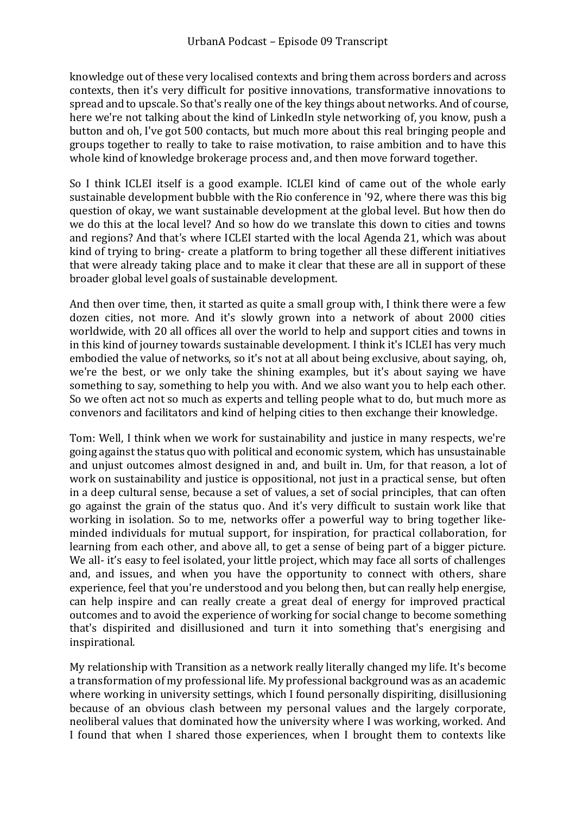knowledge out of these very localised contexts and bring them across borders and across contexts, then it's very difficult for positive innovations, transformative innovations to spread and to upscale. So that's really one of the key things about networks. And of course, here we're not talking about the kind of LinkedIn style networking of, you know, push a button and oh, I've got 500 contacts, but much more about this real bringing people and groups together to really to take to raise motivation, to raise ambition and to have this whole kind of knowledge brokerage process and, and then move forward together.

So I think ICLEI itself is a good example. ICLEI kind of came out of the whole early sustainable development bubble with the Rio conference in '92, where there was this big question of okay, we want sustainable development at the global level. But how then do we do this at the local level? And so how do we translate this down to cities and towns and regions? And that's where ICLEI started with the local Agenda 21, which was about kind of trying to bring- create a platform to bring together all these different initiatives that were already taking place and to make it clear that these are all in support of these broader global level goals of sustainable development.

And then over time, then, it started as quite a small group with, I think there were a few dozen cities, not more. And it's slowly grown into a network of about 2000 cities worldwide, with 20 all offices all over the world to help and support cities and towns in in this kind of journey towards sustainable development. I think it's ICLEI has very much embodied the value of networks, so it's not at all about being exclusive, about saying, oh, we're the best, or we only take the shining examples, but it's about saying we have something to say, something to help you with. And we also want you to help each other. So we often act not so much as experts and telling people what to do, but much more as convenors and facilitators and kind of helping cities to then exchange their knowledge.

Tom: Well, I think when we work for sustainability and justice in many respects, we're going against the status quo with political and economic system, which has unsustainable and unjust outcomes almost designed in and, and built in. Um, for that reason, a lot of work on sustainability and justice is oppositional, not just in a practical sense, but often in a deep cultural sense, because a set of values, a set of social principles, that can often go against the grain of the status quo. And it's very difficult to sustain work like that working in isolation. So to me, networks offer a powerful way to bring together likeminded individuals for mutual support, for inspiration, for practical collaboration, for learning from each other, and above all, to get a sense of being part of a bigger picture. We all- it's easy to feel isolated, your little project, which may face all sorts of challenges and, and issues, and when you have the opportunity to connect with others, share experience, feel that you're understood and you belong then, but can really help energise, can help inspire and can really create a great deal of energy for improved practical outcomes and to avoid the experience of working for social change to become something that's dispirited and disillusioned and turn it into something that's energising and inspirational.

My relationship with Transition as a network really literally changed my life. It's become a transformation of my professional life. My professional background was as an academic where working in university settings, which I found personally dispiriting, disillusioning because of an obvious clash between my personal values and the largely corporate, neoliberal values that dominated how the university where I was working, worked. And I found that when I shared those experiences, when I brought them to contexts like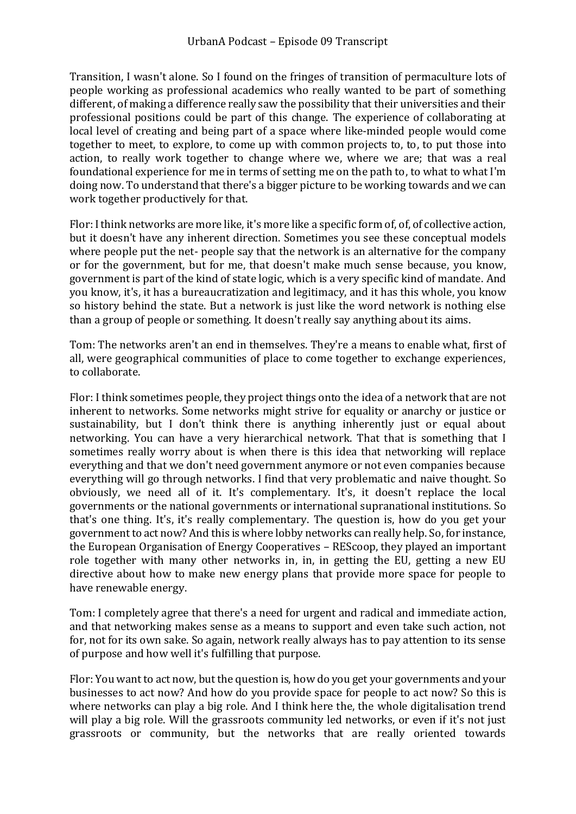Transition, I wasn't alone. So I found on the fringes of transition of permaculture lots of people working as professional academics who really wanted to be part of something different, of making a difference really saw the possibility that their universities and their professional positions could be part of this change. The experience of collaborating at local level of creating and being part of a space where like-minded people would come together to meet, to explore, to come up with common projects to, to, to put those into action, to really work together to change where we, where we are; that was a real foundational experience for me in terms of setting me on the path to, to what to what I'm doing now. To understand that there's a bigger picture to be working towards and we can work together productively for that.

Flor: I think networks are more like, it's more like a specific form of, of, of collective action, but it doesn't have any inherent direction. Sometimes you see these conceptual models where people put the net- people say that the network is an alternative for the company or for the government, but for me, that doesn't make much sense because, you know, government is part of the kind of state logic, which is a very specific kind of mandate. And you know, it's, it has a bureaucratization and legitimacy, and it has this whole, you know so history behind the state. But a network is just like the word network is nothing else than a group of people or something. It doesn't really say anything about its aims.

Tom: The networks aren't an end in themselves. They're a means to enable what, first of all, were geographical communities of place to come together to exchange experiences, to collaborate.

Flor: I think sometimes people, they project things onto the idea of a network that are not inherent to networks. Some networks might strive for equality or anarchy or justice or sustainability, but I don't think there is anything inherently just or equal about networking. You can have a very hierarchical network. That that is something that I sometimes really worry about is when there is this idea that networking will replace everything and that we don't need government anymore or not even companies because everything will go through networks. I find that very problematic and naive thought. So obviously, we need all of it. It's complementary. It's, it doesn't replace the local governments or the national governments or international supranational institutions. So that's one thing. It's, it's really complementary. The question is, how do you get your government to act now? And this is where lobby networks can really help. So, for instance, the European Organisation of Energy Cooperatives – REScoop, they played an important role together with many other networks in, in, in getting the EU, getting a new EU directive about how to make new energy plans that provide more space for people to have renewable energy.

Tom: I completely agree that there's a need for urgent and radical and immediate action, and that networking makes sense as a means to support and even take such action, not for, not for its own sake. So again, network really always has to pay attention to its sense of purpose and how well it's fulfilling that purpose.

Flor: You want to act now, but the question is, how do you get your governments and your businesses to act now? And how do you provide space for people to act now? So this is where networks can play a big role. And I think here the, the whole digitalisation trend will play a big role. Will the grassroots community led networks, or even if it's not just grassroots or community, but the networks that are really oriented towards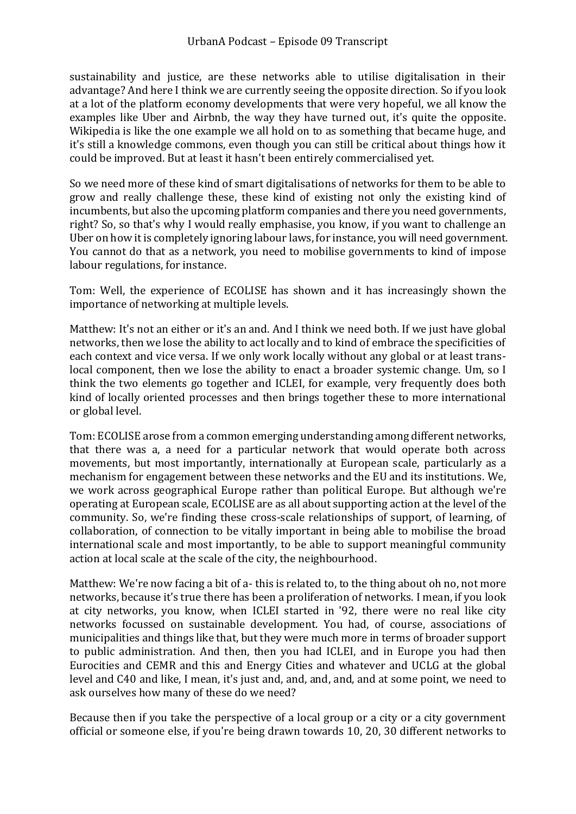sustainability and justice, are these networks able to utilise digitalisation in their advantage? And here I think we are currently seeing the opposite direction. So if you look at a lot of the platform economy developments that were very hopeful, we all know the examples like Uber and Airbnb, the way they have turned out, it's quite the opposite. Wikipedia is like the one example we all hold on to as something that became huge, and it's still a knowledge commons, even though you can still be critical about things how it could be improved. But at least it hasn't been entirely commercialised yet.

So we need more of these kind of smart digitalisations of networks for them to be able to grow and really challenge these, these kind of existing not only the existing kind of incumbents, but also the upcoming platform companies and there you need governments, right? So, so that's why I would really emphasise, you know, if you want to challenge an Uber on how it is completely ignoring labour laws, for instance, you will need government. You cannot do that as a network, you need to mobilise governments to kind of impose labour regulations, for instance.

Tom: Well, the experience of ECOLISE has shown and it has increasingly shown the importance of networking at multiple levels.

Matthew: It's not an either or it's an and. And I think we need both. If we just have global networks, then we lose the ability to act locally and to kind of embrace the specificities of each context and vice versa. If we only work locally without any global or at least translocal component, then we lose the ability to enact a broader systemic change. Um, so I think the two elements go together and ICLEI, for example, very frequently does both kind of locally oriented processes and then brings together these to more international or global level.

Tom: ECOLISE arose from a common emerging understanding among different networks, that there was a, a need for a particular network that would operate both across movements, but most importantly, internationally at European scale, particularly as a mechanism for engagement between these networks and the EU and its institutions. We, we work across geographical Europe rather than political Europe. But although we're operating at European scale, ECOLISE are as all about supporting action at the level of the community. So, we're finding these cross-scale relationships of support, of learning, of collaboration, of connection to be vitally important in being able to mobilise the broad international scale and most importantly, to be able to support meaningful community action at local scale at the scale of the city, the neighbourhood.

Matthew: We're now facing a bit of a- this is related to, to the thing about oh no, not more networks, because it's true there has been a proliferation of networks. I mean, if you look at city networks, you know, when ICLEI started in '92, there were no real like city networks focussed on sustainable development. You had, of course, associations of municipalities and things like that, but they were much more in terms of broader support to public administration. And then, then you had ICLEI, and in Europe you had then Eurocities and CEMR and this and Energy Cities and whatever and UCLG at the global level and C40 and like, I mean, it's just and, and, and, and, and at some point, we need to ask ourselves how many of these do we need?

Because then if you take the perspective of a local group or a city or a city government official or someone else, if you're being drawn towards 10, 20, 30 different networks to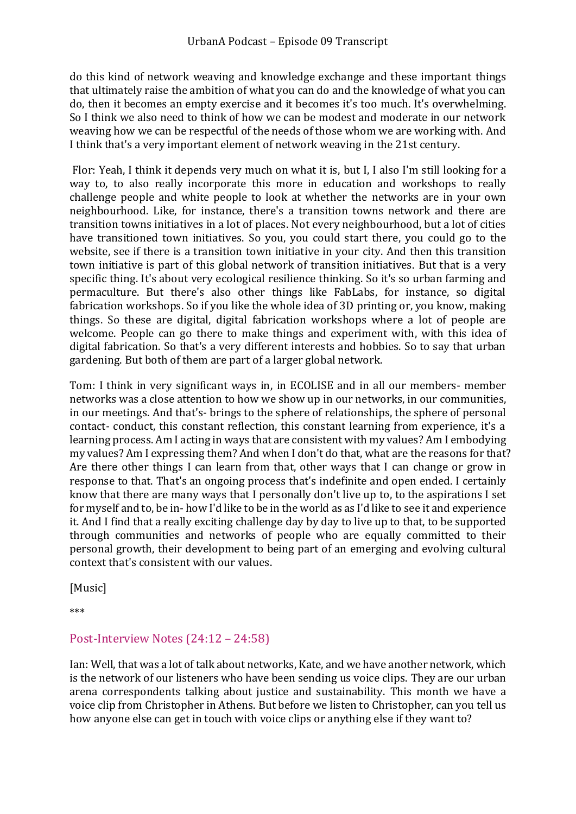do this kind of network weaving and knowledge exchange and these important things that ultimately raise the ambition of what you can do and the knowledge of what you can do, then it becomes an empty exercise and it becomes it's too much. It's overwhelming. So I think we also need to think of how we can be modest and moderate in our network weaving how we can be respectful of the needs of those whom we are working with. And I think that's a very important element of network weaving in the 21st century.

Flor: Yeah, I think it depends very much on what it is, but I, I also I'm still looking for a way to, to also really incorporate this more in education and workshops to really challenge people and white people to look at whether the networks are in your own neighbourhood. Like, for instance, there's a transition towns network and there are transition towns initiatives in a lot of places. Not every neighbourhood, but a lot of cities have transitioned town initiatives. So you, you could start there, you could go to the website, see if there is a transition town initiative in your city. And then this transition town initiative is part of this global network of transition initiatives. But that is a very specific thing. It's about very ecological resilience thinking. So it's so urban farming and permaculture. But there's also other things like FabLabs, for instance, so digital fabrication workshops. So if you like the whole idea of 3D printing or, you know, making things. So these are digital, digital fabrication workshops where a lot of people are welcome. People can go there to make things and experiment with, with this idea of digital fabrication. So that's a very different interests and hobbies. So to say that urban gardening. But both of them are part of a larger global network.

Tom: I think in very significant ways in, in ECOLISE and in all our members- member networks was a close attention to how we show up in our networks, in our communities, in our meetings. And that's- brings to the sphere of relationships, the sphere of personal contact- conduct, this constant reflection, this constant learning from experience, it's a learning process. Am I acting in ways that are consistent with my values? Am I embodying my values? Am I expressing them? And when I don't do that, what are the reasons for that? Are there other things I can learn from that, other ways that I can change or grow in response to that. That's an ongoing process that's indefinite and open ended. I certainly know that there are many ways that I personally don't live up to, to the aspirations I set for myself and to, be in- how I'd like to be in the world as as I'd like to see it and experience it. And I find that a really exciting challenge day by day to live up to that, to be supported through communities and networks of people who are equally committed to their personal growth, their development to being part of an emerging and evolving cultural context that's consistent with our values.

[Music]

\*\*\*

### <span id="page-6-0"></span>Post-Interview Notes (24:12 – 24:58)

Ian: Well, that was a lot of talk about networks, Kate, and we have another network, which is the network of our listeners who have been sending us voice clips. They are our urban arena correspondents talking about justice and sustainability. This month we have a voice clip from Christopher in Athens. But before we listen to Christopher, can you tell us how anyone else can get in touch with voice clips or anything else if they want to?